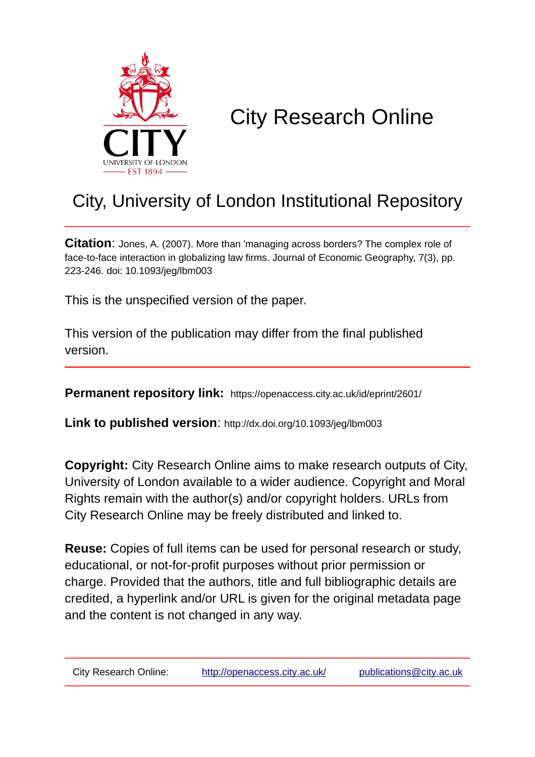

# City Research Online

# City, University of London Institutional Repository

**Citation**: Jones, A. (2007). More than 'managing across borders? The complex role of face-to-face interaction in globalizing law firms. Journal of Economic Geography, 7(3), pp. 223-246. doi: 10.1093/jeg/lbm003

This is the unspecified version of the paper.

This version of the publication may differ from the final published version.

**Permanent repository link:** https://openaccess.city.ac.uk/id/eprint/2601/

**Link to published version**: http://dx.doi.org/10.1093/jeg/lbm003

**Copyright:** City Research Online aims to make research outputs of City, University of London available to a wider audience. Copyright and Moral Rights remain with the author(s) and/or copyright holders. URLs from City Research Online may be freely distributed and linked to.

**Reuse:** Copies of full items can be used for personal research or study, educational, or not-for-profit purposes without prior permission or charge. Provided that the authors, title and full bibliographic details are credited, a hyperlink and/or URL is given for the original metadata page and the content is not changed in any way.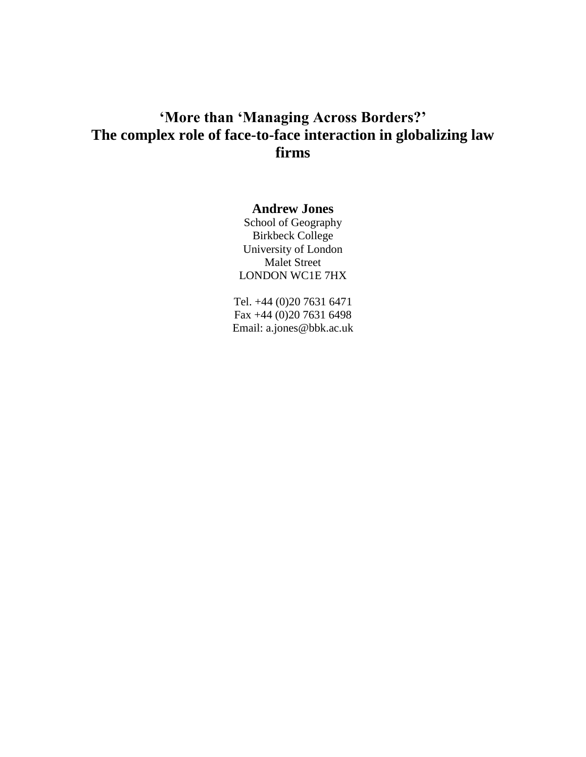# **'More than 'Managing Across Borders?' The complex role of face-to-face interaction in globalizing law firms**

## **Andrew Jones**

School of Geography Birkbeck College University of London Malet Street LONDON WC1E 7HX

Tel. +44 (0)20 7631 6471 Fax +44 (0)20 7631 6498 Email: a.jones@bbk.ac.uk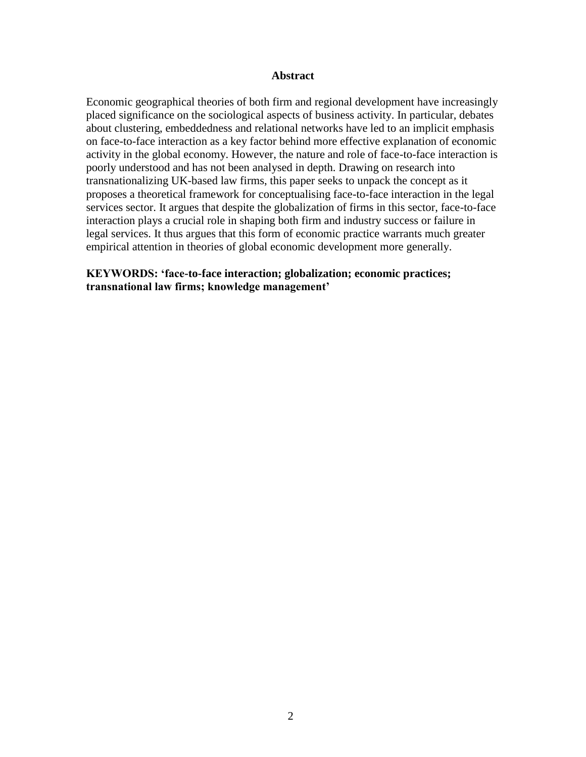#### **Abstract**

Economic geographical theories of both firm and regional development have increasingly placed significance on the sociological aspects of business activity. In particular, debates about clustering, embeddedness and relational networks have led to an implicit emphasis on face-to-face interaction as a key factor behind more effective explanation of economic activity in the global economy. However, the nature and role of face-to-face interaction is poorly understood and has not been analysed in depth. Drawing on research into transnationalizing UK-based law firms, this paper seeks to unpack the concept as it proposes a theoretical framework for conceptualising face-to-face interaction in the legal services sector. It argues that despite the globalization of firms in this sector, face-to-face interaction plays a crucial role in shaping both firm and industry success or failure in legal services. It thus argues that this form of economic practice warrants much greater empirical attention in theories of global economic development more generally.

## **KEYWORDS: 'face-to-face interaction; globalization; economic practices; transnational law firms; knowledge management'**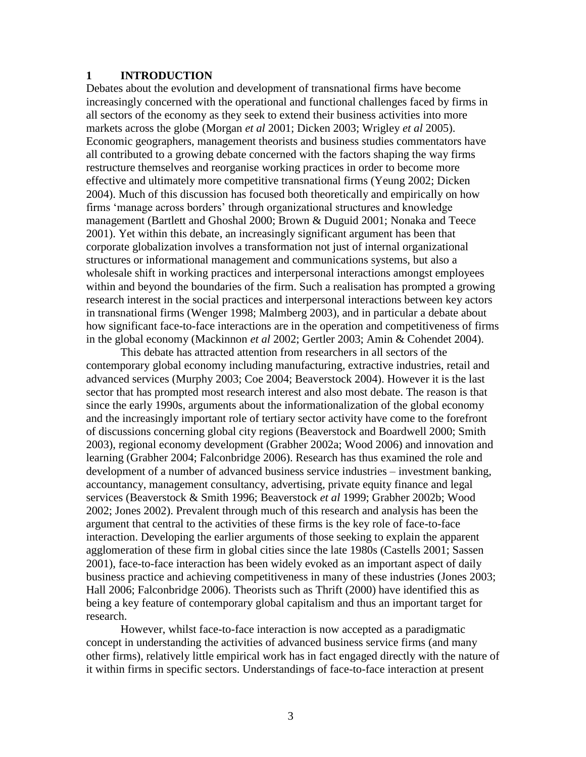#### **1 INTRODUCTION**

Debates about the evolution and development of transnational firms have become increasingly concerned with the operational and functional challenges faced by firms in all sectors of the economy as they seek to extend their business activities into more markets across the globe (Morgan *et al* 2001; Dicken 2003; Wrigley *et al* 2005). Economic geographers, management theorists and business studies commentators have all contributed to a growing debate concerned with the factors shaping the way firms restructure themselves and reorganise working practices in order to become more effective and ultimately more competitive transnational firms (Yeung 2002; Dicken 2004). Much of this discussion has focused both theoretically and empirically on how firms 'manage across borders' through organizational structures and knowledge management (Bartlett and Ghoshal 2000; Brown & Duguid 2001; Nonaka and Teece 2001). Yet within this debate, an increasingly significant argument has been that corporate globalization involves a transformation not just of internal organizational structures or informational management and communications systems, but also a wholesale shift in working practices and interpersonal interactions amongst employees within and beyond the boundaries of the firm. Such a realisation has prompted a growing research interest in the social practices and interpersonal interactions between key actors in transnational firms (Wenger 1998; Malmberg 2003), and in particular a debate about how significant face-to-face interactions are in the operation and competitiveness of firms in the global economy (Mackinnon *et al* 2002; Gertler 2003; Amin & Cohendet 2004).

This debate has attracted attention from researchers in all sectors of the contemporary global economy including manufacturing, extractive industries, retail and advanced services (Murphy 2003; Coe 2004; Beaverstock 2004). However it is the last sector that has prompted most research interest and also most debate. The reason is that since the early 1990s, arguments about the informationalization of the global economy and the increasingly important role of tertiary sector activity have come to the forefront of discussions concerning global city regions (Beaverstock and Boardwell 2000; Smith 2003), regional economy development (Grabher 2002a; Wood 2006) and innovation and learning (Grabher 2004; Falconbridge 2006). Research has thus examined the role and development of a number of advanced business service industries – investment banking, accountancy, management consultancy, advertising, private equity finance and legal services (Beaverstock & Smith 1996; Beaverstock *et al* 1999; Grabher 2002b; Wood 2002; Jones 2002). Prevalent through much of this research and analysis has been the argument that central to the activities of these firms is the key role of face-to-face interaction. Developing the earlier arguments of those seeking to explain the apparent agglomeration of these firm in global cities since the late 1980s (Castells 2001; Sassen 2001), face-to-face interaction has been widely evoked as an important aspect of daily business practice and achieving competitiveness in many of these industries (Jones 2003; Hall 2006; Falconbridge 2006). Theorists such as Thrift (2000) have identified this as being a key feature of contemporary global capitalism and thus an important target for research.

However, whilst face-to-face interaction is now accepted as a paradigmatic concept in understanding the activities of advanced business service firms (and many other firms), relatively little empirical work has in fact engaged directly with the nature of it within firms in specific sectors. Understandings of face-to-face interaction at present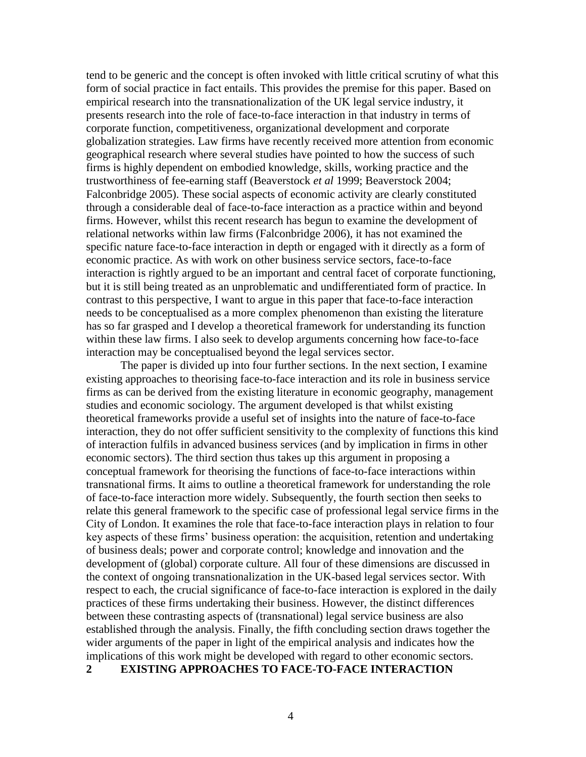tend to be generic and the concept is often invoked with little critical scrutiny of what this form of social practice in fact entails. This provides the premise for this paper. Based on empirical research into the transnationalization of the UK legal service industry, it presents research into the role of face-to-face interaction in that industry in terms of corporate function, competitiveness, organizational development and corporate globalization strategies. Law firms have recently received more attention from economic geographical research where several studies have pointed to how the success of such firms is highly dependent on embodied knowledge, skills, working practice and the trustworthiness of fee-earning staff (Beaverstock *et al* 1999; Beaverstock 2004; Falconbridge 2005). These social aspects of economic activity are clearly constituted through a considerable deal of face-to-face interaction as a practice within and beyond firms. However, whilst this recent research has begun to examine the development of relational networks within law firms (Falconbridge 2006), it has not examined the specific nature face-to-face interaction in depth or engaged with it directly as a form of economic practice. As with work on other business service sectors, face-to-face interaction is rightly argued to be an important and central facet of corporate functioning, but it is still being treated as an unproblematic and undifferentiated form of practice. In contrast to this perspective, I want to argue in this paper that face-to-face interaction needs to be conceptualised as a more complex phenomenon than existing the literature has so far grasped and I develop a theoretical framework for understanding its function within these law firms. I also seek to develop arguments concerning how face-to-face interaction may be conceptualised beyond the legal services sector.

The paper is divided up into four further sections. In the next section, I examine existing approaches to theorising face-to-face interaction and its role in business service firms as can be derived from the existing literature in economic geography, management studies and economic sociology. The argument developed is that whilst existing theoretical frameworks provide a useful set of insights into the nature of face-to-face interaction, they do not offer sufficient sensitivity to the complexity of functions this kind of interaction fulfils in advanced business services (and by implication in firms in other economic sectors). The third section thus takes up this argument in proposing a conceptual framework for theorising the functions of face-to-face interactions within transnational firms. It aims to outline a theoretical framework for understanding the role of face-to-face interaction more widely. Subsequently, the fourth section then seeks to relate this general framework to the specific case of professional legal service firms in the City of London. It examines the role that face-to-face interaction plays in relation to four key aspects of these firms' business operation: the acquisition, retention and undertaking of business deals; power and corporate control; knowledge and innovation and the development of (global) corporate culture. All four of these dimensions are discussed in the context of ongoing transnationalization in the UK-based legal services sector. With respect to each, the crucial significance of face-to-face interaction is explored in the daily practices of these firms undertaking their business. However, the distinct differences between these contrasting aspects of (transnational) legal service business are also established through the analysis. Finally, the fifth concluding section draws together the wider arguments of the paper in light of the empirical analysis and indicates how the implications of this work might be developed with regard to other economic sectors.

#### **2 EXISTING APPROACHES TO FACE-TO-FACE INTERACTION**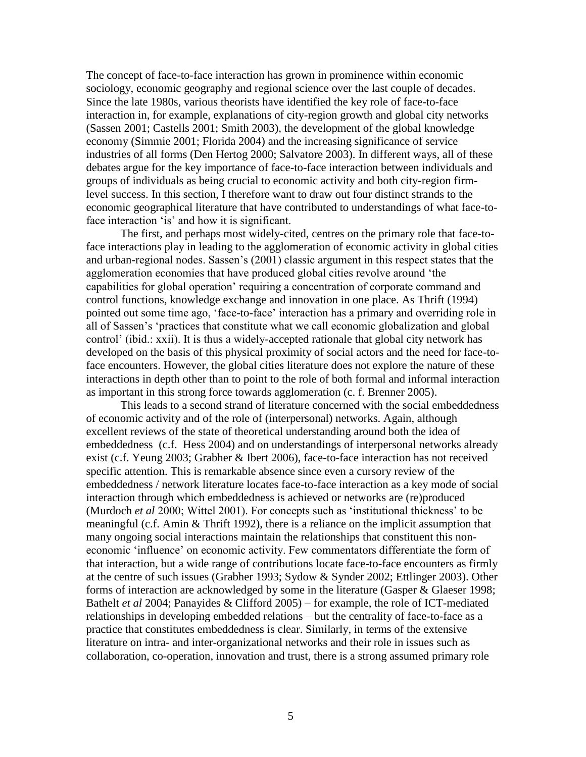The concept of face-to-face interaction has grown in prominence within economic sociology, economic geography and regional science over the last couple of decades. Since the late 1980s, various theorists have identified the key role of face-to-face interaction in, for example, explanations of city-region growth and global city networks (Sassen 2001; Castells 2001; Smith 2003), the development of the global knowledge economy (Simmie 2001; Florida 2004) and the increasing significance of service industries of all forms (Den Hertog 2000; Salvatore 2003). In different ways, all of these debates argue for the key importance of face-to-face interaction between individuals and groups of individuals as being crucial to economic activity and both city-region firmlevel success. In this section, I therefore want to draw out four distinct strands to the economic geographical literature that have contributed to understandings of what face-toface interaction 'is' and how it is significant.

The first, and perhaps most widely-cited, centres on the primary role that face-toface interactions play in leading to the agglomeration of economic activity in global cities and urban-regional nodes. Sassen's (2001) classic argument in this respect states that the agglomeration economies that have produced global cities revolve around 'the capabilities for global operation' requiring a concentration of corporate command and control functions, knowledge exchange and innovation in one place. As Thrift (1994) pointed out some time ago, 'face-to-face' interaction has a primary and overriding role in all of Sassen's 'practices that constitute what we call economic globalization and global control' (ibid.: xxii). It is thus a widely-accepted rationale that global city network has developed on the basis of this physical proximity of social actors and the need for face-toface encounters. However, the global cities literature does not explore the nature of these interactions in depth other than to point to the role of both formal and informal interaction as important in this strong force towards agglomeration (c. f. Brenner 2005).

This leads to a second strand of literature concerned with the social embeddedness of economic activity and of the role of (interpersonal) networks. Again, although excellent reviews of the state of theoretical understanding around both the idea of embeddedness (c.f. Hess 2004) and on understandings of interpersonal networks already exist (c.f. Yeung 2003; Grabher & Ibert 2006), face-to-face interaction has not received specific attention. This is remarkable absence since even a cursory review of the embeddedness / network literature locates face-to-face interaction as a key mode of social interaction through which embeddedness is achieved or networks are (re)produced (Murdoch *et al* 2000; Wittel 2001). For concepts such as 'institutional thickness' to be meaningful (c.f. Amin & Thrift 1992), there is a reliance on the implicit assumption that many ongoing social interactions maintain the relationships that constituent this noneconomic 'influence' on economic activity. Few commentators differentiate the form of that interaction, but a wide range of contributions locate face-to-face encounters as firmly at the centre of such issues (Grabher 1993; Sydow & Synder 2002; Ettlinger 2003). Other forms of interaction are acknowledged by some in the literature (Gasper & Glaeser 1998; Bathelt *et al* 2004; Panayides & Clifford 2005) – for example, the role of ICT-mediated relationships in developing embedded relations – but the centrality of face-to-face as a practice that constitutes embeddedness is clear. Similarly, in terms of the extensive literature on intra- and inter-organizational networks and their role in issues such as collaboration, co-operation, innovation and trust, there is a strong assumed primary role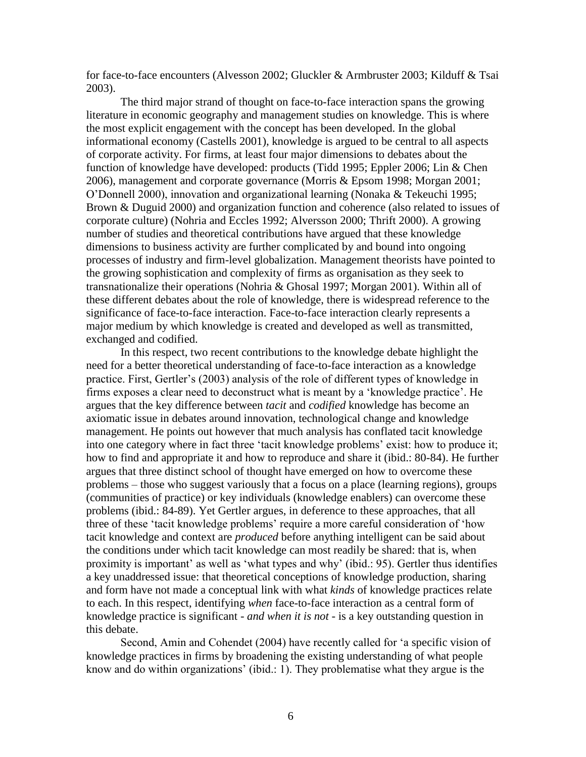for face-to-face encounters (Alvesson 2002; Gluckler & Armbruster 2003; Kilduff & Tsai 2003).

The third major strand of thought on face-to-face interaction spans the growing literature in economic geography and management studies on knowledge. This is where the most explicit engagement with the concept has been developed. In the global informational economy (Castells 2001), knowledge is argued to be central to all aspects of corporate activity. For firms, at least four major dimensions to debates about the function of knowledge have developed: products (Tidd 1995; Eppler 2006; Lin & Chen 2006), management and corporate governance (Morris & Epsom 1998; Morgan 2001; O'Donnell 2000), innovation and organizational learning (Nonaka & Tekeuchi 1995; Brown & Duguid 2000) and organization function and coherence (also related to issues of corporate culture) (Nohria and Eccles 1992; Alversson 2000; Thrift 2000). A growing number of studies and theoretical contributions have argued that these knowledge dimensions to business activity are further complicated by and bound into ongoing processes of industry and firm-level globalization. Management theorists have pointed to the growing sophistication and complexity of firms as organisation as they seek to transnationalize their operations (Nohria & Ghosal 1997; Morgan 2001). Within all of these different debates about the role of knowledge, there is widespread reference to the significance of face-to-face interaction. Face-to-face interaction clearly represents a major medium by which knowledge is created and developed as well as transmitted, exchanged and codified.

In this respect, two recent contributions to the knowledge debate highlight the need for a better theoretical understanding of face-to-face interaction as a knowledge practice. First, Gertler's (2003) analysis of the role of different types of knowledge in firms exposes a clear need to deconstruct what is meant by a 'knowledge practice'. He argues that the key difference between *tacit* and *codified* knowledge has become an axiomatic issue in debates around innovation, technological change and knowledge management. He points out however that much analysis has conflated tacit knowledge into one category where in fact three 'tacit knowledge problems' exist: how to produce it; how to find and appropriate it and how to reproduce and share it (ibid.: 80-84). He further argues that three distinct school of thought have emerged on how to overcome these problems – those who suggest variously that a focus on a place (learning regions), groups (communities of practice) or key individuals (knowledge enablers) can overcome these problems (ibid.: 84-89). Yet Gertler argues, in deference to these approaches, that all three of these 'tacit knowledge problems' require a more careful consideration of 'how tacit knowledge and context are *produced* before anything intelligent can be said about the conditions under which tacit knowledge can most readily be shared: that is, when proximity is important' as well as 'what types and why' (ibid.: 95). Gertler thus identifies a key unaddressed issue: that theoretical conceptions of knowledge production, sharing and form have not made a conceptual link with what *kinds* of knowledge practices relate to each. In this respect, identifying *when* face-to-face interaction as a central form of knowledge practice is significant - *and when it is not -* is a key outstanding question in this debate.

Second, Amin and Cohendet (2004) have recently called for 'a specific vision of knowledge practices in firms by broadening the existing understanding of what people know and do within organizations' (ibid.: 1). They problematise what they argue is the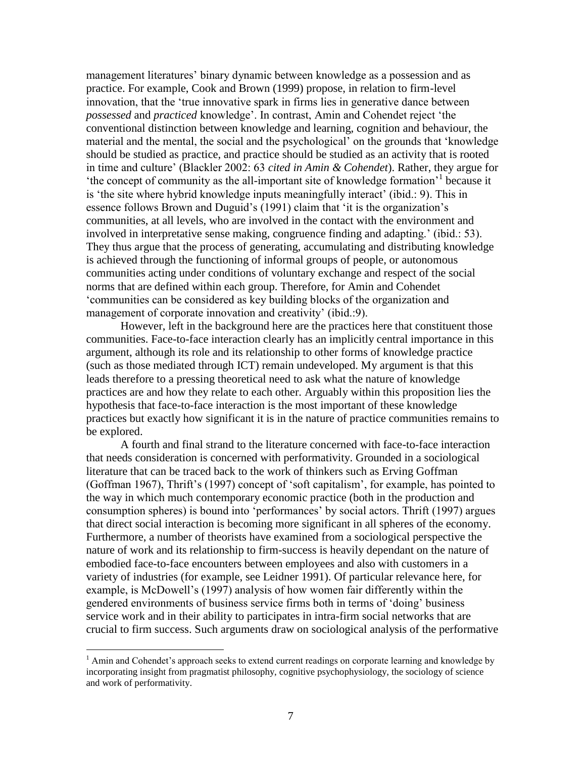management literatures' binary dynamic between knowledge as a possession and as practice. For example, Cook and Brown (1999) propose, in relation to firm-level innovation, that the 'true innovative spark in firms lies in generative dance between *possessed* and *practiced* knowledge'. In contrast, Amin and Cohendet reject 'the conventional distinction between knowledge and learning, cognition and behaviour, the material and the mental, the social and the psychological' on the grounds that 'knowledge should be studied as practice, and practice should be studied as an activity that is rooted in time and culture' (Blackler 2002: 63 *cited in Amin & Cohendet*). Rather, they argue for 'the concept of community as the all-important site of knowledge formation'<sup>1</sup> because it is 'the site where hybrid knowledge inputs meaningfully interact' (ibid.: 9). This in essence follows Brown and Duguid's (1991) claim that 'it is the organization's communities, at all levels, who are involved in the contact with the environment and involved in interpretative sense making, congruence finding and adapting.' (ibid.: 53). They thus argue that the process of generating, accumulating and distributing knowledge is achieved through the functioning of informal groups of people, or autonomous communities acting under conditions of voluntary exchange and respect of the social norms that are defined within each group. Therefore, for Amin and Cohendet 'communities can be considered as key building blocks of the organization and management of corporate innovation and creativity' (ibid.:9).

However, left in the background here are the practices here that constituent those communities. Face-to-face interaction clearly has an implicitly central importance in this argument, although its role and its relationship to other forms of knowledge practice (such as those mediated through ICT) remain undeveloped. My argument is that this leads therefore to a pressing theoretical need to ask what the nature of knowledge practices are and how they relate to each other. Arguably within this proposition lies the hypothesis that face-to-face interaction is the most important of these knowledge practices but exactly how significant it is in the nature of practice communities remains to be explored.

A fourth and final strand to the literature concerned with face-to-face interaction that needs consideration is concerned with performativity. Grounded in a sociological literature that can be traced back to the work of thinkers such as Erving Goffman (Goffman 1967), Thrift's (1997) concept of 'soft capitalism', for example, has pointed to the way in which much contemporary economic practice (both in the production and consumption spheres) is bound into 'performances' by social actors. Thrift (1997) argues that direct social interaction is becoming more significant in all spheres of the economy. Furthermore, a number of theorists have examined from a sociological perspective the nature of work and its relationship to firm-success is heavily dependant on the nature of embodied face-to-face encounters between employees and also with customers in a variety of industries (for example, see Leidner 1991). Of particular relevance here, for example, is McDowell's (1997) analysis of how women fair differently within the gendered environments of business service firms both in terms of 'doing' business service work and in their ability to participates in intra-firm social networks that are crucial to firm success. Such arguments draw on sociological analysis of the performative

 $\overline{a}$ 

 $<sup>1</sup>$  Amin and Cohendet's approach seeks to extend current readings on corporate learning and knowledge by</sup> incorporating insight from pragmatist philosophy, cognitive psychophysiology, the sociology of science and work of performativity.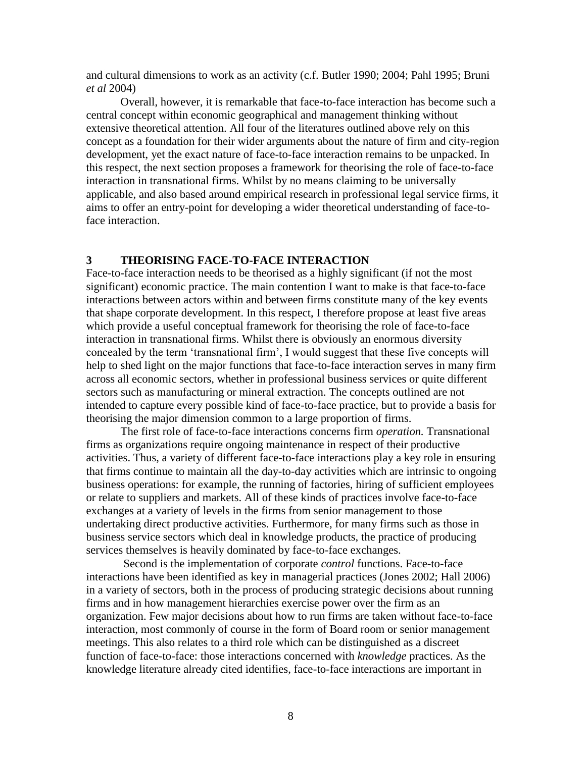and cultural dimensions to work as an activity (c.f. Butler 1990; 2004; Pahl 1995; Bruni *et al* 2004)

Overall, however, it is remarkable that face-to-face interaction has become such a central concept within economic geographical and management thinking without extensive theoretical attention. All four of the literatures outlined above rely on this concept as a foundation for their wider arguments about the nature of firm and city-region development, yet the exact nature of face-to-face interaction remains to be unpacked. In this respect, the next section proposes a framework for theorising the role of face-to-face interaction in transnational firms. Whilst by no means claiming to be universally applicable, and also based around empirical research in professional legal service firms, it aims to offer an entry-point for developing a wider theoretical understanding of face-toface interaction.

#### **3 THEORISING FACE-TO-FACE INTERACTION**

Face-to-face interaction needs to be theorised as a highly significant (if not the most significant) economic practice. The main contention I want to make is that face-to-face interactions between actors within and between firms constitute many of the key events that shape corporate development. In this respect, I therefore propose at least five areas which provide a useful conceptual framework for theorising the role of face-to-face interaction in transnational firms. Whilst there is obviously an enormous diversity concealed by the term 'transnational firm', I would suggest that these five concepts will help to shed light on the major functions that face-to-face interaction serves in many firm across all economic sectors, whether in professional business services or quite different sectors such as manufacturing or mineral extraction. The concepts outlined are not intended to capture every possible kind of face-to-face practice, but to provide a basis for theorising the major dimension common to a large proportion of firms.

The first role of face-to-face interactions concerns firm *operation.* Transnational firms as organizations require ongoing maintenance in respect of their productive activities. Thus, a variety of different face-to-face interactions play a key role in ensuring that firms continue to maintain all the day-to-day activities which are intrinsic to ongoing business operations: for example, the running of factories, hiring of sufficient employees or relate to suppliers and markets. All of these kinds of practices involve face-to-face exchanges at a variety of levels in the firms from senior management to those undertaking direct productive activities. Furthermore, for many firms such as those in business service sectors which deal in knowledge products, the practice of producing services themselves is heavily dominated by face-to-face exchanges.

Second is the implementation of corporate *control* functions. Face-to-face interactions have been identified as key in managerial practices (Jones 2002; Hall 2006) in a variety of sectors, both in the process of producing strategic decisions about running firms and in how management hierarchies exercise power over the firm as an organization. Few major decisions about how to run firms are taken without face-to-face interaction, most commonly of course in the form of Board room or senior management meetings. This also relates to a third role which can be distinguished as a discreet function of face-to-face: those interactions concerned with *knowledge* practices. As the knowledge literature already cited identifies, face-to-face interactions are important in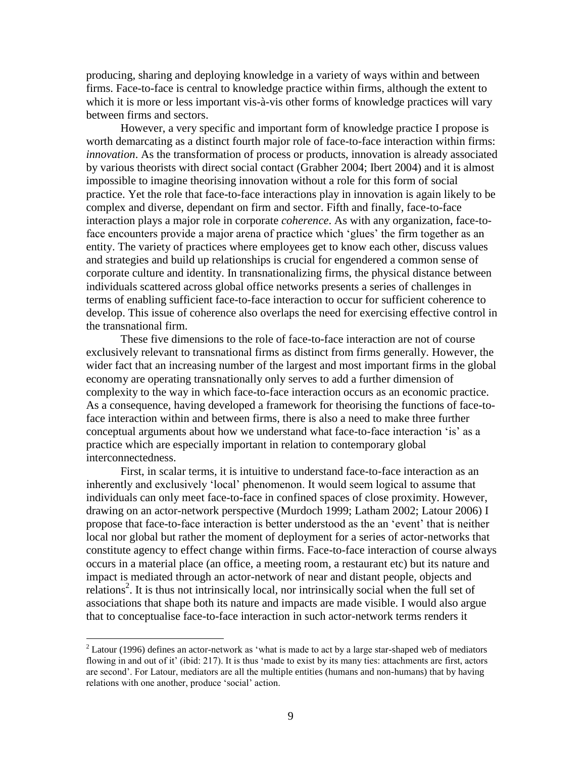producing, sharing and deploying knowledge in a variety of ways within and between firms. Face-to-face is central to knowledge practice within firms, although the extent to which it is more or less important vis-à-vis other forms of knowledge practices will vary between firms and sectors.

However, a very specific and important form of knowledge practice I propose is worth demarcating as a distinct fourth major role of face-to-face interaction within firms: *innovation*. As the transformation of process or products, innovation is already associated by various theorists with direct social contact (Grabher 2004; Ibert 2004) and it is almost impossible to imagine theorising innovation without a role for this form of social practice. Yet the role that face-to-face interactions play in innovation is again likely to be complex and diverse, dependant on firm and sector. Fifth and finally, face-to-face interaction plays a major role in corporate *coherence*. As with any organization, face-toface encounters provide a major arena of practice which 'glues' the firm together as an entity. The variety of practices where employees get to know each other, discuss values and strategies and build up relationships is crucial for engendered a common sense of corporate culture and identity. In transnationalizing firms, the physical distance between individuals scattered across global office networks presents a series of challenges in terms of enabling sufficient face-to-face interaction to occur for sufficient coherence to develop. This issue of coherence also overlaps the need for exercising effective control in the transnational firm.

These five dimensions to the role of face-to-face interaction are not of course exclusively relevant to transnational firms as distinct from firms generally. However, the wider fact that an increasing number of the largest and most important firms in the global economy are operating transnationally only serves to add a further dimension of complexity to the way in which face-to-face interaction occurs as an economic practice. As a consequence, having developed a framework for theorising the functions of face-toface interaction within and between firms, there is also a need to make three further conceptual arguments about how we understand what face-to-face interaction 'is' as a practice which are especially important in relation to contemporary global interconnectedness.

First, in scalar terms, it is intuitive to understand face-to-face interaction as an inherently and exclusively 'local' phenomenon. It would seem logical to assume that individuals can only meet face-to-face in confined spaces of close proximity. However, drawing on an actor-network perspective (Murdoch 1999; Latham 2002; Latour 2006) I propose that face-to-face interaction is better understood as the an 'event' that is neither local nor global but rather the moment of deployment for a series of actor-networks that constitute agency to effect change within firms. Face-to-face interaction of course always occurs in a material place (an office, a meeting room, a restaurant etc) but its nature and impact is mediated through an actor-network of near and distant people, objects and relations<sup>2</sup>. It is thus not intrinsically local, nor intrinsically social when the full set of associations that shape both its nature and impacts are made visible. I would also argue that to conceptualise face-to-face interaction in such actor-network terms renders it

 $\overline{a}$ 

 $2$  Latour (1996) defines an actor-network as 'what is made to act by a large star-shaped web of mediators flowing in and out of it' (ibid: 217). It is thus 'made to exist by its many ties: attachments are first, actors are second'. For Latour, mediators are all the multiple entities (humans and non-humans) that by having relations with one another, produce 'social' action.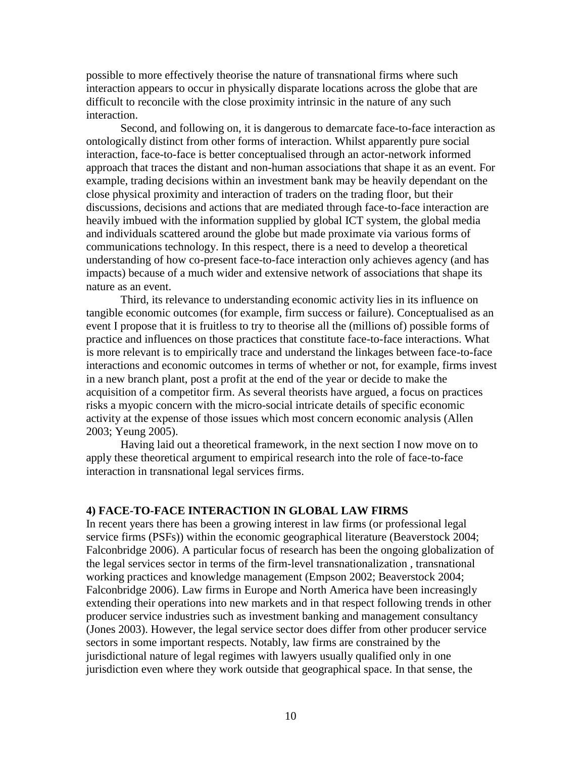possible to more effectively theorise the nature of transnational firms where such interaction appears to occur in physically disparate locations across the globe that are difficult to reconcile with the close proximity intrinsic in the nature of any such interaction.

Second, and following on, it is dangerous to demarcate face-to-face interaction as ontologically distinct from other forms of interaction. Whilst apparently pure social interaction, face-to-face is better conceptualised through an actor-network informed approach that traces the distant and non-human associations that shape it as an event. For example, trading decisions within an investment bank may be heavily dependant on the close physical proximity and interaction of traders on the trading floor, but their discussions, decisions and actions that are mediated through face-to-face interaction are heavily imbued with the information supplied by global ICT system, the global media and individuals scattered around the globe but made proximate via various forms of communications technology. In this respect, there is a need to develop a theoretical understanding of how co-present face-to-face interaction only achieves agency (and has impacts) because of a much wider and extensive network of associations that shape its nature as an event.

Third, its relevance to understanding economic activity lies in its influence on tangible economic outcomes (for example, firm success or failure). Conceptualised as an event I propose that it is fruitless to try to theorise all the (millions of) possible forms of practice and influences on those practices that constitute face-to-face interactions. What is more relevant is to empirically trace and understand the linkages between face-to-face interactions and economic outcomes in terms of whether or not, for example, firms invest in a new branch plant, post a profit at the end of the year or decide to make the acquisition of a competitor firm. As several theorists have argued, a focus on practices risks a myopic concern with the micro-social intricate details of specific economic activity at the expense of those issues which most concern economic analysis (Allen 2003; Yeung 2005).

Having laid out a theoretical framework, in the next section I now move on to apply these theoretical argument to empirical research into the role of face-to-face interaction in transnational legal services firms.

#### **4) FACE-TO-FACE INTERACTION IN GLOBAL LAW FIRMS**

In recent years there has been a growing interest in law firms (or professional legal service firms (PSFs)) within the economic geographical literature (Beaverstock 2004; Falconbridge 2006). A particular focus of research has been the ongoing globalization of the legal services sector in terms of the firm-level transnationalization , transnational working practices and knowledge management (Empson 2002; Beaverstock 2004; Falconbridge 2006). Law firms in Europe and North America have been increasingly extending their operations into new markets and in that respect following trends in other producer service industries such as investment banking and management consultancy (Jones 2003). However, the legal service sector does differ from other producer service sectors in some important respects. Notably, law firms are constrained by the jurisdictional nature of legal regimes with lawyers usually qualified only in one jurisdiction even where they work outside that geographical space. In that sense, the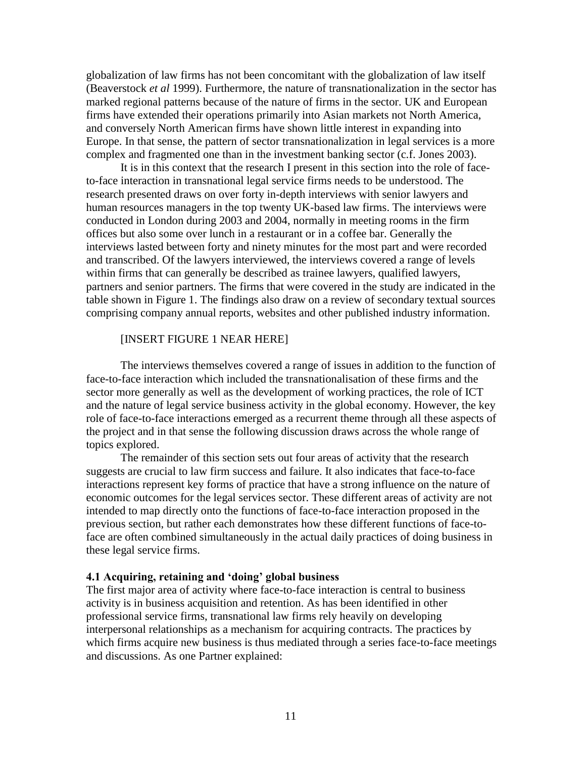globalization of law firms has not been concomitant with the globalization of law itself (Beaverstock *et al* 1999). Furthermore, the nature of transnationalization in the sector has marked regional patterns because of the nature of firms in the sector. UK and European firms have extended their operations primarily into Asian markets not North America, and conversely North American firms have shown little interest in expanding into Europe. In that sense, the pattern of sector transnationalization in legal services is a more complex and fragmented one than in the investment banking sector (c.f. Jones 2003).

It is in this context that the research I present in this section into the role of faceto-face interaction in transnational legal service firms needs to be understood. The research presented draws on over forty in-depth interviews with senior lawyers and human resources managers in the top twenty UK-based law firms. The interviews were conducted in London during 2003 and 2004, normally in meeting rooms in the firm offices but also some over lunch in a restaurant or in a coffee bar. Generally the interviews lasted between forty and ninety minutes for the most part and were recorded and transcribed. Of the lawyers interviewed, the interviews covered a range of levels within firms that can generally be described as trainee lawyers, qualified lawyers, partners and senior partners. The firms that were covered in the study are indicated in the table shown in Figure 1. The findings also draw on a review of secondary textual sources comprising company annual reports, websites and other published industry information.

#### [INSERT FIGURE 1 NEAR HERE]

The interviews themselves covered a range of issues in addition to the function of face-to-face interaction which included the transnationalisation of these firms and the sector more generally as well as the development of working practices, the role of ICT and the nature of legal service business activity in the global economy. However, the key role of face-to-face interactions emerged as a recurrent theme through all these aspects of the project and in that sense the following discussion draws across the whole range of topics explored.

The remainder of this section sets out four areas of activity that the research suggests are crucial to law firm success and failure. It also indicates that face-to-face interactions represent key forms of practice that have a strong influence on the nature of economic outcomes for the legal services sector. These different areas of activity are not intended to map directly onto the functions of face-to-face interaction proposed in the previous section, but rather each demonstrates how these different functions of face-toface are often combined simultaneously in the actual daily practices of doing business in these legal service firms.

#### **4.1 Acquiring, retaining and 'doing' global business**

The first major area of activity where face-to-face interaction is central to business activity is in business acquisition and retention. As has been identified in other professional service firms, transnational law firms rely heavily on developing interpersonal relationships as a mechanism for acquiring contracts. The practices by which firms acquire new business is thus mediated through a series face-to-face meetings and discussions. As one Partner explained: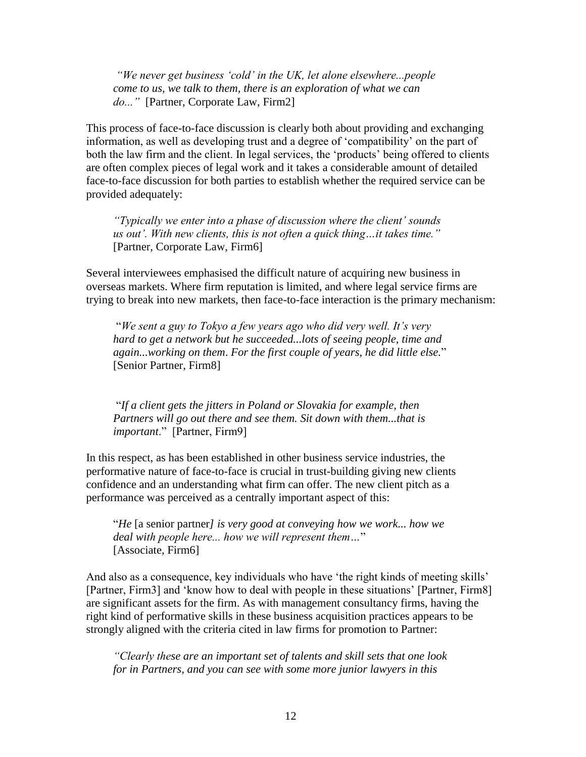*"We never get business 'cold' in the UK, let alone elsewhere...people come to us, we talk to them, there is an exploration of what we can do..."* [Partner, Corporate Law, Firm2]

This process of face-to-face discussion is clearly both about providing and exchanging information, as well as developing trust and a degree of 'compatibility' on the part of both the law firm and the client. In legal services, the 'products' being offered to clients are often complex pieces of legal work and it takes a considerable amount of detailed face-to-face discussion for both parties to establish whether the required service can be provided adequately:

*"Typically we enter into a phase of discussion where the client' sounds us out'. With new clients, this is not often a quick thing…it takes time."* [Partner, Corporate Law, Firm6]

Several interviewees emphasised the difficult nature of acquiring new business in overseas markets. Where firm reputation is limited, and where legal service firms are trying to break into new markets, then face-to-face interaction is the primary mechanism:

"*We sent a guy to Tokyo a few years ago who did very well. It's very hard to get a network but he succeeded...lots of seeing people, time and again...working on them*. *For the first couple of years, he did little else.*" [Senior Partner, Firm8]

"*If a client gets the jitters in Poland or Slovakia for example, then Partners will go out there and see them. Sit down with them...that is important*." [Partner, Firm9]

In this respect, as has been established in other business service industries, the performative nature of face-to-face is crucial in trust-building giving new clients confidence and an understanding what firm can offer. The new client pitch as a performance was perceived as a centrally important aspect of this:

"*He* [a senior partner*] is very good at conveying how we work... how we deal with people here... how we will represent them…*" [Associate, Firm6]

And also as a consequence, key individuals who have 'the right kinds of meeting skills' [Partner, Firm3] and 'know how to deal with people in these situations' [Partner, Firm8] are significant assets for the firm. As with management consultancy firms, having the right kind of performative skills in these business acquisition practices appears to be strongly aligned with the criteria cited in law firms for promotion to Partner:

*"Clearly these are an important set of talents and skill sets that one look for in Partners, and you can see with some more junior lawyers in this*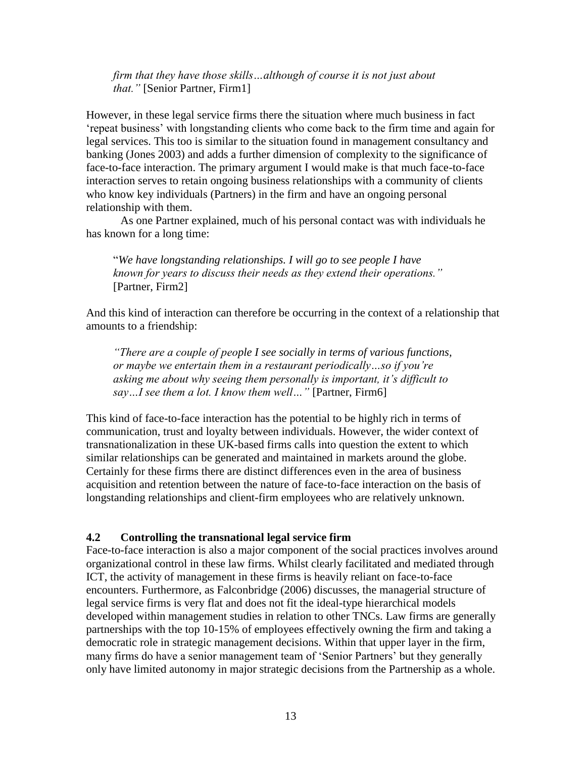*firm that they have those skills…although of course it is not just about that."* [Senior Partner, Firm1]

However, in these legal service firms there the situation where much business in fact 'repeat business' with longstanding clients who come back to the firm time and again for legal services. This too is similar to the situation found in management consultancy and banking (Jones 2003) and adds a further dimension of complexity to the significance of face-to-face interaction. The primary argument I would make is that much face-to-face interaction serves to retain ongoing business relationships with a community of clients who know key individuals (Partners) in the firm and have an ongoing personal relationship with them.

As one Partner explained, much of his personal contact was with individuals he has known for a long time:

"*We have longstanding relationships. I will go to see people I have known for years to discuss their needs as they extend their operations."* [Partner, Firm2]

And this kind of interaction can therefore be occurring in the context of a relationship that amounts to a friendship:

*"There are a couple of people I see socially in terms of various functions, or maybe we entertain them in a restaurant periodically…so if you're asking me about why seeing them personally is important, it's difficult to say…I see them a lot. I know them well…"* [Partner, Firm6]

This kind of face-to-face interaction has the potential to be highly rich in terms of communication, trust and loyalty between individuals. However, the wider context of transnationalization in these UK-based firms calls into question the extent to which similar relationships can be generated and maintained in markets around the globe. Certainly for these firms there are distinct differences even in the area of business acquisition and retention between the nature of face-to-face interaction on the basis of longstanding relationships and client-firm employees who are relatively unknown.

#### **4.2 Controlling the transnational legal service firm**

Face-to-face interaction is also a major component of the social practices involves around organizational control in these law firms. Whilst clearly facilitated and mediated through ICT, the activity of management in these firms is heavily reliant on face-to-face encounters. Furthermore, as Falconbridge (2006) discusses, the managerial structure of legal service firms is very flat and does not fit the ideal-type hierarchical models developed within management studies in relation to other TNCs. Law firms are generally partnerships with the top 10-15% of employees effectively owning the firm and taking a democratic role in strategic management decisions. Within that upper layer in the firm, many firms do have a senior management team of 'Senior Partners' but they generally only have limited autonomy in major strategic decisions from the Partnership as a whole.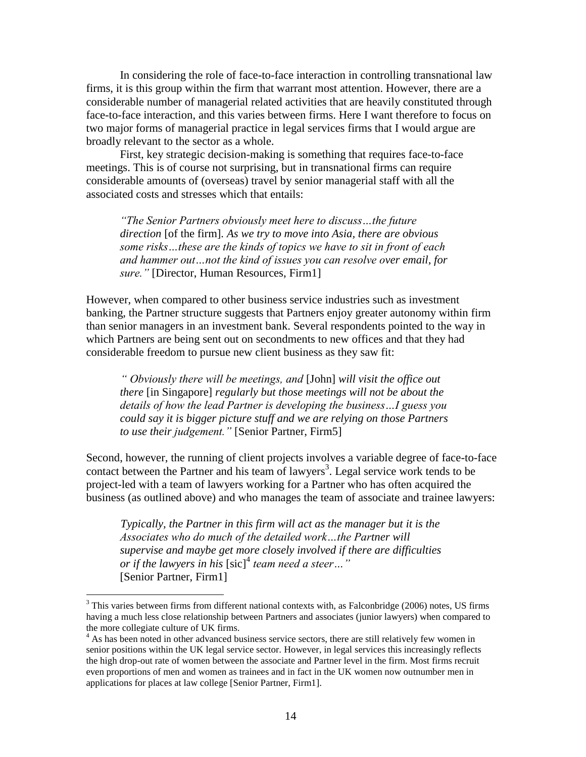In considering the role of face-to-face interaction in controlling transnational law firms, it is this group within the firm that warrant most attention. However, there are a considerable number of managerial related activities that are heavily constituted through face-to-face interaction, and this varies between firms. Here I want therefore to focus on two major forms of managerial practice in legal services firms that I would argue are broadly relevant to the sector as a whole.

First, key strategic decision-making is something that requires face-to-face meetings. This is of course not surprising, but in transnational firms can require considerable amounts of (overseas) travel by senior managerial staff with all the associated costs and stresses which that entails:

*"The Senior Partners obviously meet here to discuss…the future direction* [of the firm]*. As we try to move into Asia, there are obvious some risks…these are the kinds of topics we have to sit in front of each and hammer out…not the kind of issues you can resolve over email, for sure."* [Director, Human Resources, Firm1]

However, when compared to other business service industries such as investment banking, the Partner structure suggests that Partners enjoy greater autonomy within firm than senior managers in an investment bank. Several respondents pointed to the way in which Partners are being sent out on secondments to new offices and that they had considerable freedom to pursue new client business as they saw fit:

*" Obviously there will be meetings, and* [John] *will visit the office out there* [in Singapore] *regularly but those meetings will not be about the details of how the lead Partner is developing the business…I guess you could say it is bigger picture stuff and we are relying on those Partners to use their judgement."* [Senior Partner, Firm5]

Second, however, the running of client projects involves a variable degree of face-to-face contact between the Partner and his team of lawyers<sup>3</sup>. Legal service work tends to be project-led with a team of lawyers working for a Partner who has often acquired the business (as outlined above) and who manages the team of associate and trainee lawyers:

*Typically, the Partner in this firm will act as the manager but it is the Associates who do much of the detailed work…the Partner will supervise and maybe get more closely involved if there are difficulties or if the lawyers in his* [sic]<sup>4</sup> *team need a steer…"*  [Senior Partner, Firm1]

 $\overline{a}$ 

 $3$  This varies between firms from different national contexts with, as Falconbridge (2006) notes, US firms having a much less close relationship between Partners and associates (junior lawyers) when compared to the more collegiate culture of UK firms.

<sup>&</sup>lt;sup>4</sup> As has been noted in other advanced business service sectors, there are still relatively few women in senior positions within the UK legal service sector. However, in legal services this increasingly reflects the high drop-out rate of women between the associate and Partner level in the firm. Most firms recruit even proportions of men and women as trainees and in fact in the UK women now outnumber men in applications for places at law college [Senior Partner, Firm1].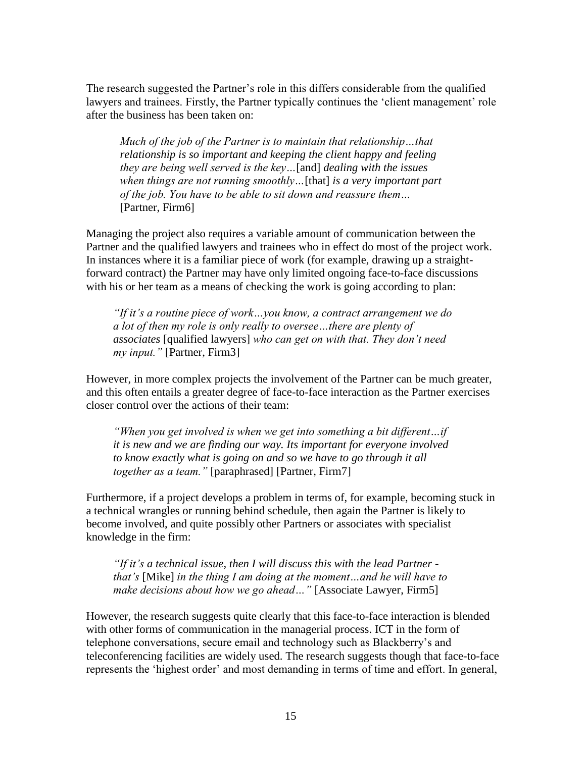The research suggested the Partner's role in this differs considerable from the qualified lawyers and trainees. Firstly, the Partner typically continues the 'client management' role after the business has been taken on:

*Much of the job of the Partner is to maintain that relationship…that relationship is so important and keeping the client happy and feeling they are being well served is the key…*[and] *dealing with the issues when things are not running smoothly…*[that] *is a very important part of the job. You have to be able to sit down and reassure them…* [Partner, Firm6]

Managing the project also requires a variable amount of communication between the Partner and the qualified lawyers and trainees who in effect do most of the project work. In instances where it is a familiar piece of work (for example, drawing up a straightforward contract) the Partner may have only limited ongoing face-to-face discussions with his or her team as a means of checking the work is going according to plan:

*"If it's a routine piece of work…you know, a contract arrangement we do a lot of then my role is only really to oversee…there are plenty of associates* [qualified lawyers] *who can get on with that. They don't need my input."* [Partner, Firm3]

However, in more complex projects the involvement of the Partner can be much greater, and this often entails a greater degree of face-to-face interaction as the Partner exercises closer control over the actions of their team:

*"When you get involved is when we get into something a bit different…if it is new and we are finding our way. Its important for everyone involved to know exactly what is going on and so we have to go through it all together as a team."* [paraphrased] [Partner, Firm7]

Furthermore, if a project develops a problem in terms of, for example, becoming stuck in a technical wrangles or running behind schedule, then again the Partner is likely to become involved, and quite possibly other Partners or associates with specialist knowledge in the firm:

*"If it's a technical issue, then I will discuss this with the lead Partner that's* [Mike] *in the thing I am doing at the moment…and he will have to make decisions about how we go ahead…"* [Associate Lawyer, Firm5]

However, the research suggests quite clearly that this face-to-face interaction is blended with other forms of communication in the managerial process. ICT in the form of telephone conversations, secure email and technology such as Blackberry's and teleconferencing facilities are widely used. The research suggests though that face-to-face represents the 'highest order' and most demanding in terms of time and effort. In general,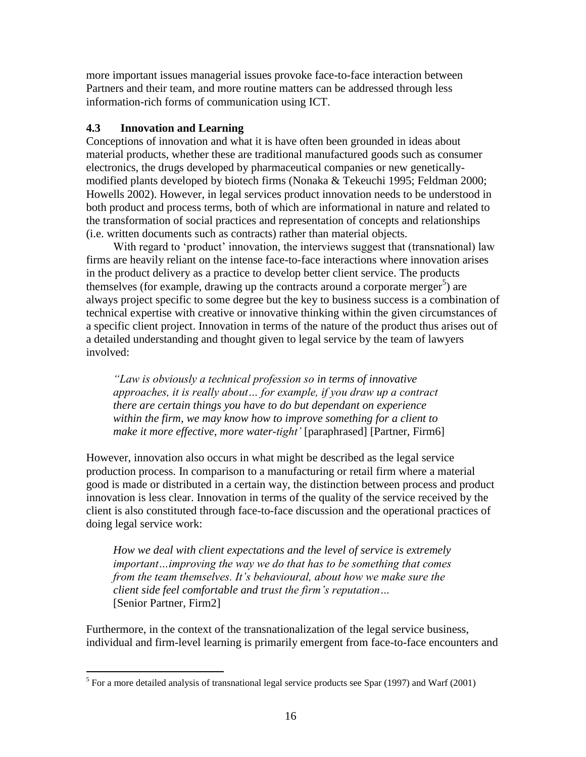more important issues managerial issues provoke face-to-face interaction between Partners and their team, and more routine matters can be addressed through less information-rich forms of communication using ICT.

# **4.3 Innovation and Learning**

Conceptions of innovation and what it is have often been grounded in ideas about material products, whether these are traditional manufactured goods such as consumer electronics, the drugs developed by pharmaceutical companies or new geneticallymodified plants developed by biotech firms (Nonaka & Tekeuchi 1995; Feldman 2000; Howells 2002). However, in legal services product innovation needs to be understood in both product and process terms, both of which are informational in nature and related to the transformation of social practices and representation of concepts and relationships (i.e. written documents such as contracts) rather than material objects.

With regard to 'product' innovation, the interviews suggest that (transnational) law firms are heavily reliant on the intense face-to-face interactions where innovation arises in the product delivery as a practice to develop better client service. The products themselves (for example, drawing up the contracts around a corporate merger<sup>5</sup>) are always project specific to some degree but the key to business success is a combination of technical expertise with creative or innovative thinking within the given circumstances of a specific client project. Innovation in terms of the nature of the product thus arises out of a detailed understanding and thought given to legal service by the team of lawyers involved:

*"Law is obviously a technical profession so in terms of innovative approaches, it is really about… for example, if you draw up a contract there are certain things you have to do but dependant on experience within the firm, we may know how to improve something for a client to make it more effective, more water-tight'* [paraphrased] [Partner, Firm6]

However, innovation also occurs in what might be described as the legal service production process. In comparison to a manufacturing or retail firm where a material good is made or distributed in a certain way, the distinction between process and product innovation is less clear. Innovation in terms of the quality of the service received by the client is also constituted through face-to-face discussion and the operational practices of doing legal service work:

*How we deal with client expectations and the level of service is extremely important…improving the way we do that has to be something that comes from the team themselves. It's behavioural, about how we make sure the client side feel comfortable and trust the firm's reputation…* [Senior Partner, Firm2]

Furthermore, in the context of the transnationalization of the legal service business, individual and firm-level learning is primarily emergent from face-to-face encounters and

<sup>&</sup>lt;sup>5</sup> For a more detailed analysis of transnational legal service products see Spar (1997) and Warf (2001)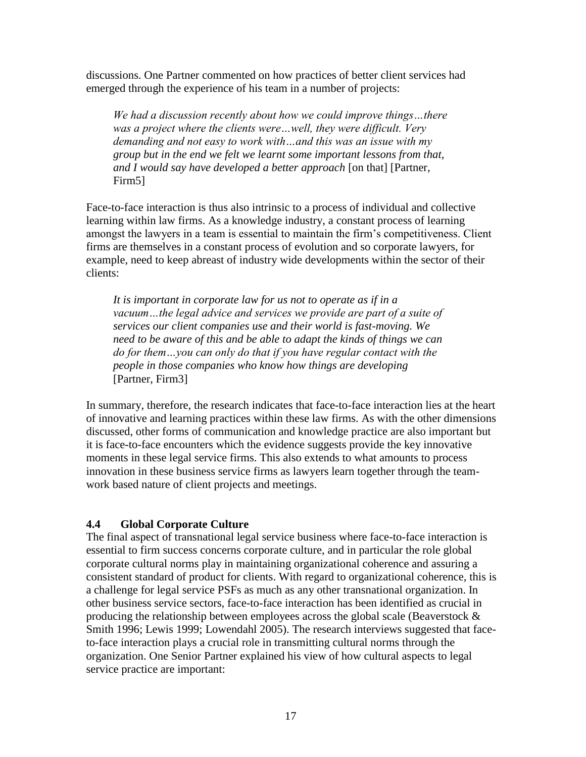discussions. One Partner commented on how practices of better client services had emerged through the experience of his team in a number of projects:

*We had a discussion recently about how we could improve things…there was a project where the clients were…well, they were difficult. Very demanding and not easy to work with…and this was an issue with my group but in the end we felt we learnt some important lessons from that, and I would say have developed a better approach* [on that] [Partner, Firm5]

Face-to-face interaction is thus also intrinsic to a process of individual and collective learning within law firms. As a knowledge industry, a constant process of learning amongst the lawyers in a team is essential to maintain the firm's competitiveness. Client firms are themselves in a constant process of evolution and so corporate lawyers, for example, need to keep abreast of industry wide developments within the sector of their clients:

*It is important in corporate law for us not to operate as if in a vacuum…the legal advice and services we provide are part of a suite of services our client companies use and their world is fast-moving. We need to be aware of this and be able to adapt the kinds of things we can do for them…you can only do that if you have regular contact with the people in those companies who know how things are developing*  [Partner, Firm3]

In summary, therefore, the research indicates that face-to-face interaction lies at the heart of innovative and learning practices within these law firms. As with the other dimensions discussed, other forms of communication and knowledge practice are also important but it is face-to-face encounters which the evidence suggests provide the key innovative moments in these legal service firms. This also extends to what amounts to process innovation in these business service firms as lawyers learn together through the teamwork based nature of client projects and meetings.

# **4.4 Global Corporate Culture**

The final aspect of transnational legal service business where face-to-face interaction is essential to firm success concerns corporate culture, and in particular the role global corporate cultural norms play in maintaining organizational coherence and assuring a consistent standard of product for clients. With regard to organizational coherence, this is a challenge for legal service PSFs as much as any other transnational organization. In other business service sectors, face-to-face interaction has been identified as crucial in producing the relationship between employees across the global scale (Beaverstock  $\&$ Smith 1996; Lewis 1999; Lowendahl 2005). The research interviews suggested that faceto-face interaction plays a crucial role in transmitting cultural norms through the organization. One Senior Partner explained his view of how cultural aspects to legal service practice are important: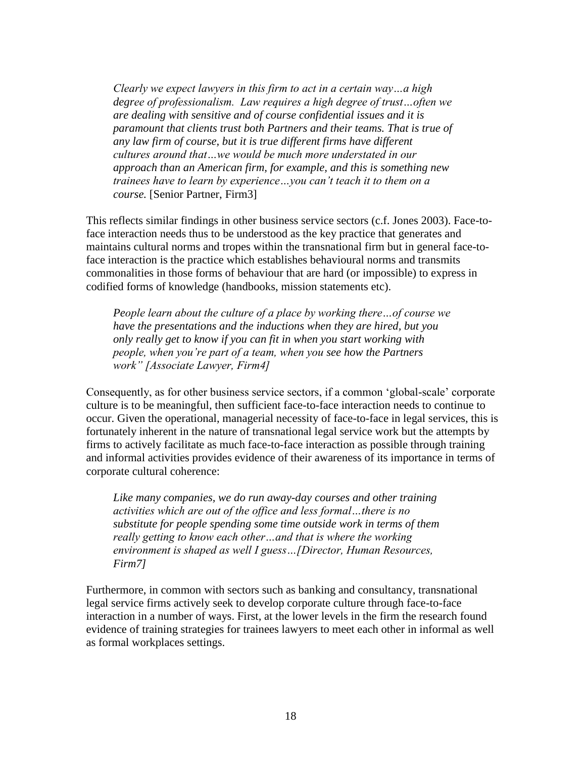*Clearly we expect lawyers in this firm to act in a certain way…a high degree of professionalism. Law requires a high degree of trust…often we are dealing with sensitive and of course confidential issues and it is paramount that clients trust both Partners and their teams. That is true of any law firm of course, but it is true different firms have different cultures around that…we would be much more understated in our approach than an American firm, for example, and this is something new trainees have to learn by experience…you can't teach it to them on a course.* [Senior Partner, Firm3]

This reflects similar findings in other business service sectors (c.f. Jones 2003). Face-toface interaction needs thus to be understood as the key practice that generates and maintains cultural norms and tropes within the transnational firm but in general face-toface interaction is the practice which establishes behavioural norms and transmits commonalities in those forms of behaviour that are hard (or impossible) to express in codified forms of knowledge (handbooks, mission statements etc).

*People learn about the culture of a place by working there…of course we have the presentations and the inductions when they are hired, but you only really get to know if you can fit in when you start working with people, when you're part of a team, when you see how the Partners work" [Associate Lawyer, Firm4]*

Consequently, as for other business service sectors, if a common 'global-scale' corporate culture is to be meaningful, then sufficient face-to-face interaction needs to continue to occur. Given the operational, managerial necessity of face-to-face in legal services, this is fortunately inherent in the nature of transnational legal service work but the attempts by firms to actively facilitate as much face-to-face interaction as possible through training and informal activities provides evidence of their awareness of its importance in terms of corporate cultural coherence:

*Like many companies, we do run away-day courses and other training activities which are out of the office and less formal…there is no substitute for people spending some time outside work in terms of them really getting to know each other…and that is where the working environment is shaped as well I guess…[Director, Human Resources, Firm7]*

Furthermore, in common with sectors such as banking and consultancy, transnational legal service firms actively seek to develop corporate culture through face-to-face interaction in a number of ways. First, at the lower levels in the firm the research found evidence of training strategies for trainees lawyers to meet each other in informal as well as formal workplaces settings.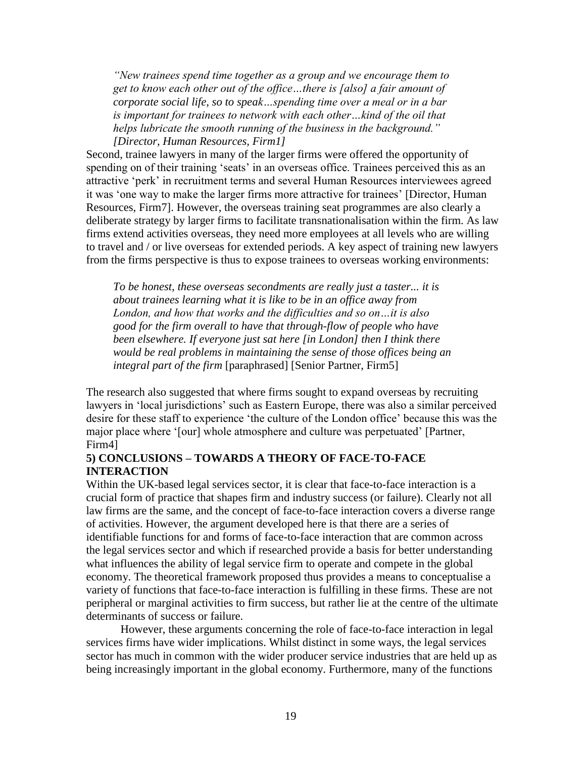*"New trainees spend time together as a group and we encourage them to get to know each other out of the office…there is [also] a fair amount of corporate social life, so to speak…spending time over a meal or in a bar is important for trainees to network with each other…kind of the oil that helps lubricate the smooth running of the business in the background." [Director, Human Resources, Firm1]*

Second, trainee lawyers in many of the larger firms were offered the opportunity of spending on of their training 'seats' in an overseas office. Trainees perceived this as an attractive 'perk' in recruitment terms and several Human Resources interviewees agreed it was 'one way to make the larger firms more attractive for trainees' [Director, Human Resources, Firm7]. However, the overseas training seat programmes are also clearly a deliberate strategy by larger firms to facilitate transnationalisation within the firm. As law firms extend activities overseas, they need more employees at all levels who are willing to travel and / or live overseas for extended periods. A key aspect of training new lawyers from the firms perspective is thus to expose trainees to overseas working environments:

*To be honest, these overseas secondments are really just a taster... it is about trainees learning what it is like to be in an office away from London, and how that works and the difficulties and so on…it is also good for the firm overall to have that through-flow of people who have been elsewhere. If everyone just sat here [in London] then I think there would be real problems in maintaining the sense of those offices being an integral part of the firm* [paraphrased] [Senior Partner, Firm5]

The research also suggested that where firms sought to expand overseas by recruiting lawyers in 'local jurisdictions' such as Eastern Europe, there was also a similar perceived desire for these staff to experience 'the culture of the London office' because this was the major place where '[our] whole atmosphere and culture was perpetuated' [Partner, Firm4]

# **5) CONCLUSIONS – TOWARDS A THEORY OF FACE-TO-FACE INTERACTION**

Within the UK-based legal services sector, it is clear that face-to-face interaction is a crucial form of practice that shapes firm and industry success (or failure). Clearly not all law firms are the same, and the concept of face-to-face interaction covers a diverse range of activities. However, the argument developed here is that there are a series of identifiable functions for and forms of face-to-face interaction that are common across the legal services sector and which if researched provide a basis for better understanding what influences the ability of legal service firm to operate and compete in the global economy. The theoretical framework proposed thus provides a means to conceptualise a variety of functions that face-to-face interaction is fulfilling in these firms. These are not peripheral or marginal activities to firm success, but rather lie at the centre of the ultimate determinants of success or failure.

However, these arguments concerning the role of face-to-face interaction in legal services firms have wider implications. Whilst distinct in some ways, the legal services sector has much in common with the wider producer service industries that are held up as being increasingly important in the global economy. Furthermore, many of the functions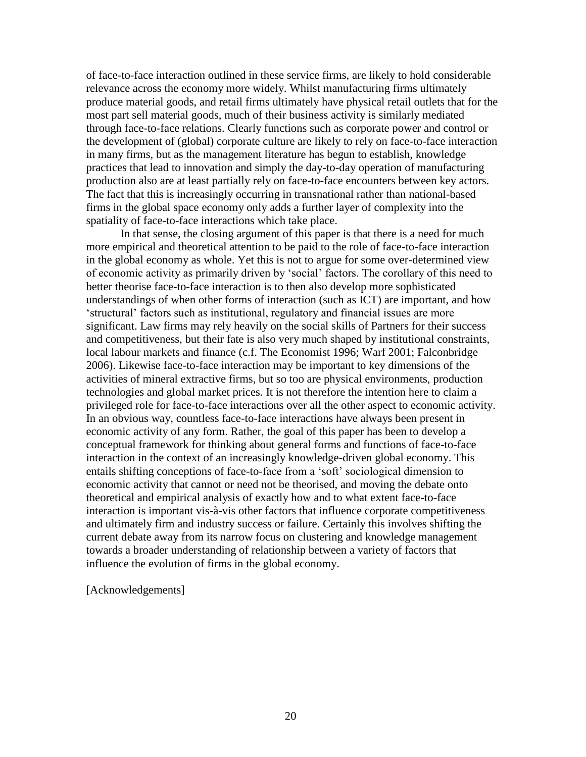of face-to-face interaction outlined in these service firms, are likely to hold considerable relevance across the economy more widely. Whilst manufacturing firms ultimately produce material goods, and retail firms ultimately have physical retail outlets that for the most part sell material goods, much of their business activity is similarly mediated through face-to-face relations. Clearly functions such as corporate power and control or the development of (global) corporate culture are likely to rely on face-to-face interaction in many firms, but as the management literature has begun to establish, knowledge practices that lead to innovation and simply the day-to-day operation of manufacturing production also are at least partially rely on face-to-face encounters between key actors. The fact that this is increasingly occurring in transnational rather than national-based firms in the global space economy only adds a further layer of complexity into the spatiality of face-to-face interactions which take place.

In that sense, the closing argument of this paper is that there is a need for much more empirical and theoretical attention to be paid to the role of face-to-face interaction in the global economy as whole. Yet this is not to argue for some over-determined view of economic activity as primarily driven by 'social' factors. The corollary of this need to better theorise face-to-face interaction is to then also develop more sophisticated understandings of when other forms of interaction (such as ICT) are important, and how 'structural' factors such as institutional, regulatory and financial issues are more significant. Law firms may rely heavily on the social skills of Partners for their success and competitiveness, but their fate is also very much shaped by institutional constraints, local labour markets and finance (c.f. The Economist 1996; Warf 2001; Falconbridge 2006). Likewise face-to-face interaction may be important to key dimensions of the activities of mineral extractive firms, but so too are physical environments, production technologies and global market prices. It is not therefore the intention here to claim a privileged role for face-to-face interactions over all the other aspect to economic activity. In an obvious way, countless face-to-face interactions have always been present in economic activity of any form. Rather, the goal of this paper has been to develop a conceptual framework for thinking about general forms and functions of face-to-face interaction in the context of an increasingly knowledge-driven global economy. This entails shifting conceptions of face-to-face from a 'soft' sociological dimension to economic activity that cannot or need not be theorised, and moving the debate onto theoretical and empirical analysis of exactly how and to what extent face-to-face interaction is important vis-à-vis other factors that influence corporate competitiveness and ultimately firm and industry success or failure. Certainly this involves shifting the current debate away from its narrow focus on clustering and knowledge management towards a broader understanding of relationship between a variety of factors that influence the evolution of firms in the global economy.

[Acknowledgements]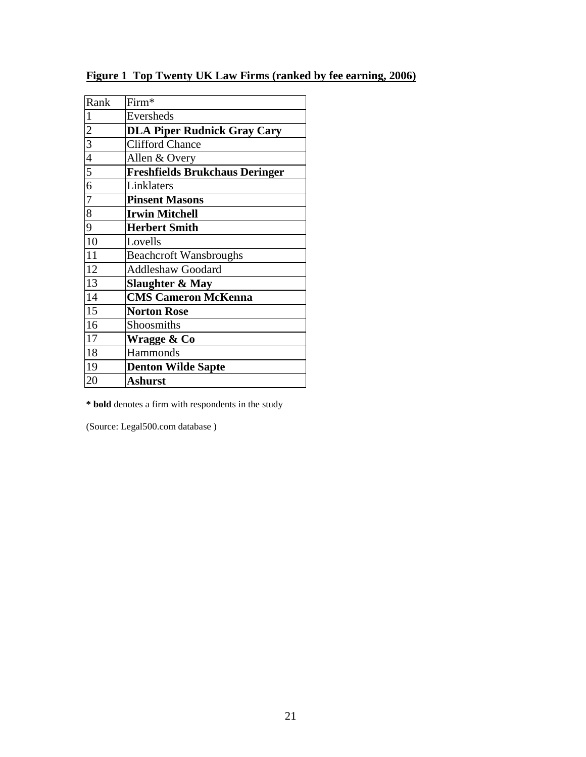| Rank | Firm*                                 |
|------|---------------------------------------|
|      | Eversheds                             |
|      | <b>DLA Piper Rudnick Gray Cary</b>    |
|      | <b>Clifford Chance</b>                |
|      | Allen & Overy                         |
|      | <b>Freshfields Brukchaus Deringer</b> |
|      | Linklaters                            |
|      | <b>Pinsent Masons</b>                 |
|      | <b>Irwin Mitchell</b>                 |
|      | <b>Herbert Smith</b>                  |
|      | Lovells                               |
|      | <b>Beachcroft Wansbroughs</b>         |
|      | <b>Addleshaw Goodard</b>              |
|      | Slaughter & May                       |
|      | <b>CMS Cameron McKenna</b>            |
|      | <b>Norton Rose</b>                    |
|      | Shoosmiths                            |
|      | Wragge & Co                           |
|      | Hammonds                              |
|      | <b>Denton Wilde Sapte</b>             |
|      | Ashurst                               |
|      |                                       |

# **Figure 1 Top Twenty UK Law Firms (ranked by fee earning, 2006)**

**\* bold** denotes a firm with respondents in the study

(Source: Legal500.com database )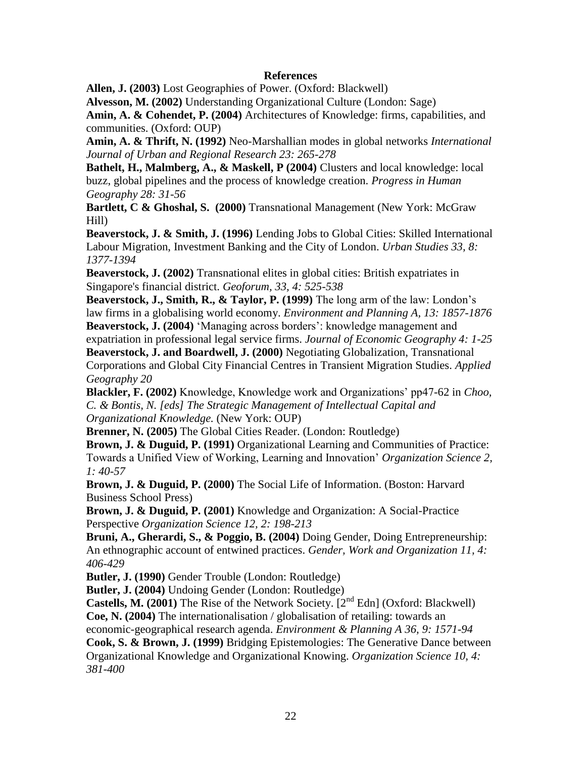### **References**

**Allen, J. (2003)** Lost Geographies of Power. (Oxford: Blackwell)

**Alvesson, M. (2002)** Understanding Organizational Culture (London: Sage)

**Amin, A. & Cohendet, P. (2004)** Architectures of Knowledge: firms, capabilities, and communities. (Oxford: OUP)

**Amin, A. & Thrift, N. (1992)** Neo-Marshallian modes in global networks *International Journal of Urban and Regional Research 23: 265-278*

**Bathelt, H., Malmberg, A., & Maskell, P (2004)** Clusters and local knowledge: local buzz, global pipelines and the process of knowledge creation. *Progress in Human Geography 28: 31-56*

**Bartlett, C & Ghoshal, S. (2000)** Transnational Management (New York: McGraw Hill)

**Beaverstock, J. & Smith, J. (1996)** Lending Jobs to Global Cities: Skilled International Labour Migration, Investment Banking and the City of London. *Urban Studies 33, 8: 1377-1394*

**Beaverstock, J. (2002)** Transnational elites in global cities: British expatriates in Singapore's financial district. *Geoforum, 33, 4: 525-538*

**Beaverstock, J., Smith, R., & Taylor, P. (1999)** The long arm of the law: London's law firms in a globalising world economy. *Environment and Planning A, 13: 1857-1876* **Beaverstock, J. (2004)** 'Managing across borders': knowledge management and

expatriation in professional legal service firms. *Journal of Economic Geography 4: 1-25*

**Beaverstock, J. and Boardwell, J. (2000)** Negotiating Globalization, Transnational Corporations and Global City Financial Centres in Transient Migration Studies. *Applied Geography 20*

**Blackler, F. (2002)** Knowledge, Knowledge work and Organizations' pp47-62 in *Choo, C. & Bontis, N. [eds] The Strategic Management of Intellectual Capital and Organizational Knowledge.* (New York: OUP)

**Brenner, N. (2005)** The Global Cities Reader. (London: Routledge)

**Brown, J. & Duguid, P. (1991)** Organizational Learning and Communities of Practice: Towards a Unified View of Working, Learning and Innovation' *Organization Science 2, 1: 40-57*

**Brown, J. & Duguid, P. (2000)** The Social Life of Information. (Boston: Harvard Business School Press)

**Brown, J. & Duguid, P. (2001)** Knowledge and Organization: A Social-Practice Perspective *Organization Science 12, 2: 198-213*

**Bruni, A., Gherardi, S., & Poggio, B. (2004)** Doing Gender, Doing Entrepreneurship: An ethnographic account of entwined practices. *Gender, Work and Organization 11, 4: 406-429*

**Butler, J. (1990)** Gender Trouble (London: Routledge)

**Butler, J. (2004)** Undoing Gender (London: Routledge)

**Castells, M. (2001)** The Rise of the Network Society. [2<sup>nd</sup> Edn] (Oxford: Blackwell) **Coe, N. (2004)** The internationalisation / globalisation of retailing: towards an

economic-geographical research agenda. *Environment & Planning A 36, 9: 1571-94*

**Cook, S. & Brown, J. (1999)** Bridging Epistemologies: The Generative Dance between Organizational Knowledge and Organizational Knowing. *Organization Science 10, 4: 381-400*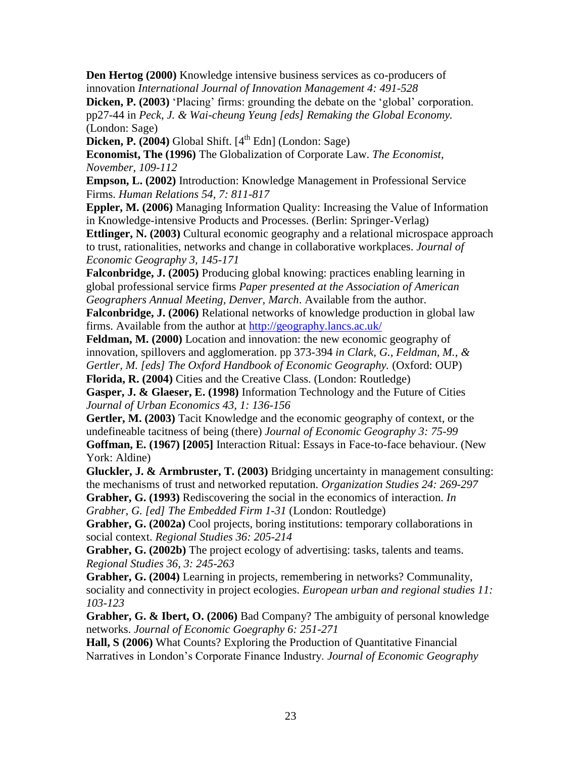**Den Hertog (2000)** Knowledge intensive business services as co-producers of innovation *International Journal of Innovation Management 4: 491-528*

**Dicken, P. (2003)** 'Placing' firms: grounding the debate on the 'global' corporation. pp27-44 in *Peck, J. & Wai-cheung Yeung [eds] Remaking the Global Economy.*  (London: Sage)

**Dicken, P. (2004)** Global Shift.  $[4^{\text{th}}$  Edn] (London: Sage)

**Economist, The (1996)** The Globalization of Corporate Law. *The Economist, November, 109-112*

**Empson, L. (2002)** Introduction: Knowledge Management in Professional Service Firms. *Human Relations 54, 7: 811-817*

**Eppler, M. (2006)** Managing Information Quality: Increasing the Value of Information in Knowledge-intensive Products and Processes. (Berlin: Springer-Verlag)

**Ettlinger, N. (2003)** Cultural economic geography and a relational microspace approach to trust, rationalities, networks and change in collaborative workplaces. *Journal of Economic Geography 3, 145-171*

**Falconbridge, J. (2005)** Producing global knowing: practices enabling learning in global professional service firms *Paper presented at the Association of American Geographers Annual Meeting, Denver, March*. Available from the author.

**Falconbridge, J. (2006)** Relational networks of knowledge production in global law firms. Available from the author at<http://geography.lancs.ac.uk/>

**Feldman, M. (2000)** Location and innovation: the new economic geography of innovation, spillovers and agglomeration. pp 373-394 *in Clark, G., Feldman, M., & Gertler, M. [eds] The Oxford Handbook of Economic Geography.* (Oxford: OUP) **Florida, R. (2004)** Cities and the Creative Class. (London: Routledge)

**Gasper, J. & Glaeser, E. (1998)** Information Technology and the Future of Cities *Journal of Urban Economics 43, 1: 136-156*

**Gertler, M. (2003)** Tacit Knowledge and the economic geography of context, or the undefineable tacitness of being (there) *Journal of Economic Geography 3: 75-99* **Goffman, E. (1967) [2005]** Interaction Ritual: Essays in Face-to-face behaviour. (New York: Aldine)

**Gluckler, J. & Armbruster, T. (2003)** Bridging uncertainty in management consulting: the mechanisms of trust and networked reputation. *Organization Studies 24: 269-297*

**Grabher, G. (1993)** Rediscovering the social in the economics of interaction. *In Grabher, G. [ed] The Embedded Firm 1-31* (London: Routledge)

**Grabher, G. (2002a)** Cool projects, boring institutions: temporary collaborations in social context. *Regional Studies 36: 205-214*

**Grabher, G. (2002b)** The project ecology of advertising: tasks, talents and teams. *Regional Studies 36, 3: 245-263*

**Grabher, G. (2004)** Learning in projects, remembering in networks? Communality, sociality and connectivity in project ecologies. *European urban and regional studies 11: 103-123*

**Grabher, G. & Ibert, O. (2006)** Bad Company? The ambiguity of personal knowledge networks. *Journal of Economic Goegraphy 6: 251-271*

**Hall, S (2006)** What Counts? Exploring the Production of Quantitative Financial Narratives in London's Corporate Finance Industry. *Journal of Economic Geography*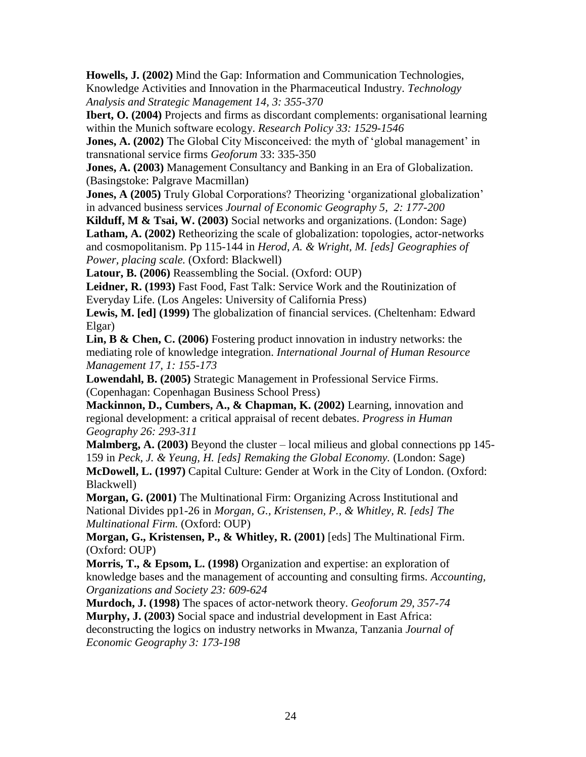**Howells, J. (2002)** Mind the Gap: Information and Communication Technologies, Knowledge Activities and Innovation in the Pharmaceutical Industry. *Technology Analysis and Strategic Management 14, 3: 355-370*

**Ibert, O. (2004)** Projects and firms as discordant complements: organisational learning within the Munich software ecology. *Research Policy 33: 1529-1546*

**Jones, A. (2002)** The Global City Misconceived: the myth of 'global management' in transnational service firms *Geoforum* 33: 335-350

**Jones, A. (2003)** Management Consultancy and Banking in an Era of Globalization. (Basingstoke: Palgrave Macmillan)

**Jones, A (2005)** Truly Global Corporations? Theorizing 'organizational globalization' in advanced business services *Journal of Economic Geography 5, 2: 177-200*

**Kilduff, M & Tsai, W. (2003)** Social networks and organizations. (London: Sage) **Latham, A. (2002)** Retheorizing the scale of globalization: topologies, actor-networks and cosmopolitanism. Pp 115-144 in *Herod, A. & Wright, M. [eds] Geographies of Power, placing scale.* (Oxford: Blackwell)

**Latour, B. (2006)** Reassembling the Social. (Oxford: OUP)

**Leidner, R. (1993)** Fast Food, Fast Talk: Service Work and the Routinization of Everyday Life. (Los Angeles: University of California Press)

**Lewis, M. [ed] (1999)** The globalization of financial services. (Cheltenham: Edward Elgar)

**Lin, B & Chen, C. (2006)** Fostering product innovation in industry networks: the mediating role of knowledge integration. *International Journal of Human Resource Management 17, 1: 155-173*

**Lowendahl, B. (2005)** Strategic Management in Professional Service Firms. (Copenhagan: Copenhagan Business School Press)

**Mackinnon, D., Cumbers, A., & Chapman, K. (2002)** Learning, innovation and regional development: a critical appraisal of recent debates. *Progress in Human Geography 26: 293-311*

**Malmberg, A. (2003)** Beyond the cluster – local milieus and global connections pp 145- 159 in *Peck, J. & Yeung, H. [eds] Remaking the Global Economy.* (London: Sage) **McDowell, L. (1997)** Capital Culture: Gender at Work in the City of London. (Oxford: Blackwell)

**Morgan, G. (2001)** The Multinational Firm: Organizing Across Institutional and National Divides pp1-26 in *Morgan, G., Kristensen, P., & Whitley, R. [eds] The Multinational Firm.* (Oxford: OUP)

**Morgan, G., Kristensen, P., & Whitley, R. (2001)** [eds] The Multinational Firm. (Oxford: OUP)

**Morris, T., & Epsom, L. (1998)** Organization and expertise: an exploration of knowledge bases and the management of accounting and consulting firms. *Accounting, Organizations and Society 23: 609-624*

**Murdoch, J. (1998)** The spaces of actor-network theory. *Geoforum 29, 357-74* **Murphy, J. (2003)** Social space and industrial development in East Africa: deconstructing the logics on industry networks in Mwanza, Tanzania *Journal of Economic Geography 3: 173-198*